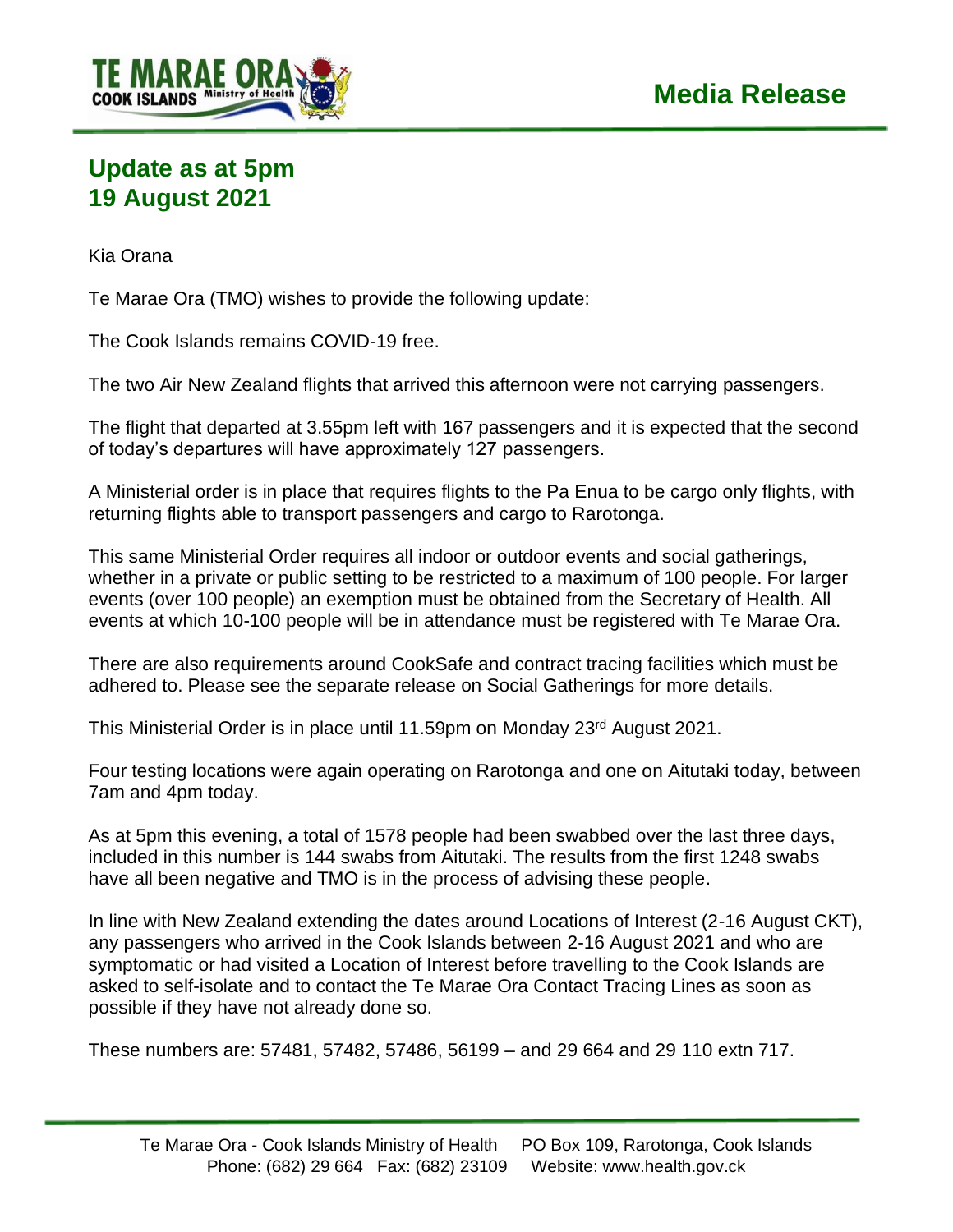

## **Update as at 5pm 19 August 2021**

Kia Orana

Te Marae Ora (TMO) wishes to provide the following update:

The Cook Islands remains COVID-19 free.

The two Air New Zealand flights that arrived this afternoon were not carrying passengers.

The flight that departed at 3.55pm left with 167 passengers and it is expected that the second of today's departures will have approximately 127 passengers.

A Ministerial order is in place that requires flights to the Pa Enua to be cargo only flights, with returning flights able to transport passengers and cargo to Rarotonga.

This same Ministerial Order requires all indoor or outdoor events and social gatherings, whether in a private or public setting to be restricted to a maximum of 100 people. For larger events (over 100 people) an exemption must be obtained from the Secretary of Health. All events at which 10-100 people will be in attendance must be registered with Te Marae Ora.

There are also requirements around CookSafe and contract tracing facilities which must be adhered to. Please see the separate release on Social Gatherings for more details.

This Ministerial Order is in place until 11.59pm on Monday 23<sup>rd</sup> August 2021.

Four testing locations were again operating on Rarotonga and one on Aitutaki today, between 7am and 4pm today.

As at 5pm this evening, a total of 1578 people had been swabbed over the last three days, included in this number is 144 swabs from Aitutaki. The results from the first 1248 swabs have all been negative and TMO is in the process of advising these people.

In line with New Zealand extending the dates around Locations of Interest (2-16 August CKT), any passengers who arrived in the Cook Islands between 2-16 August 2021 and who are symptomatic or had visited a Location of Interest before travelling to the Cook Islands are asked to self-isolate and to contact the Te Marae Ora Contact Tracing Lines as soon as possible if they have not already done so.

These numbers are: 57481, 57482, 57486, 56199 – and 29 664 and 29 110 extn 717.